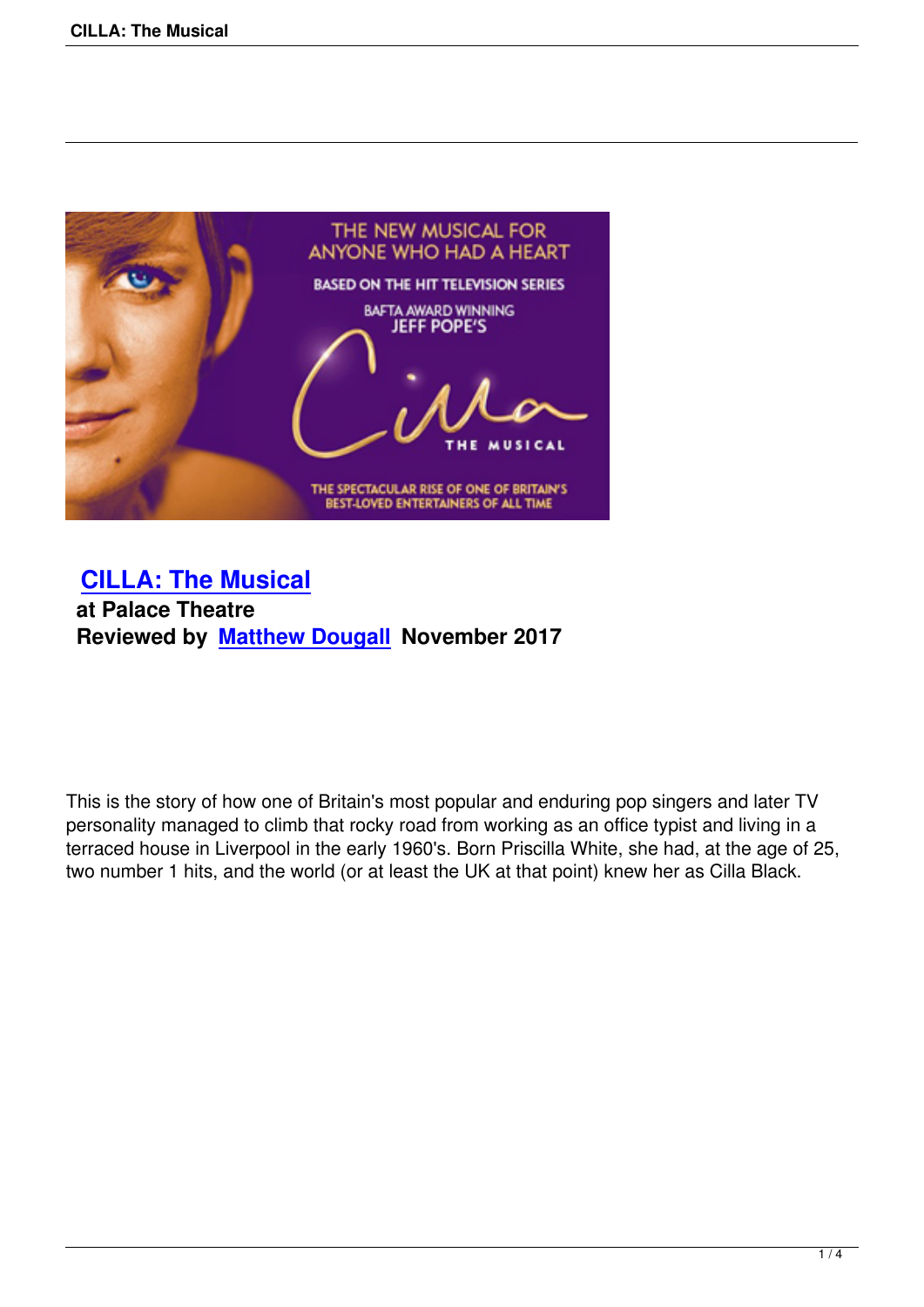

 **CILLA: The Musical at Palace Theatre [Reviewed by Matthew](cilla-the-musical.html) Dougall November 2017**

This is the story of how one of Britain's most popular and enduring pop singers and later TV personality managed to climb that rocky road from working as an office typist and living in a terraced house in Liverpool in the early 1960's. Born Priscilla White, she had, at the age of 25, two number 1 hits, and the world (or at least the UK at that point) knew her as Cilla Black.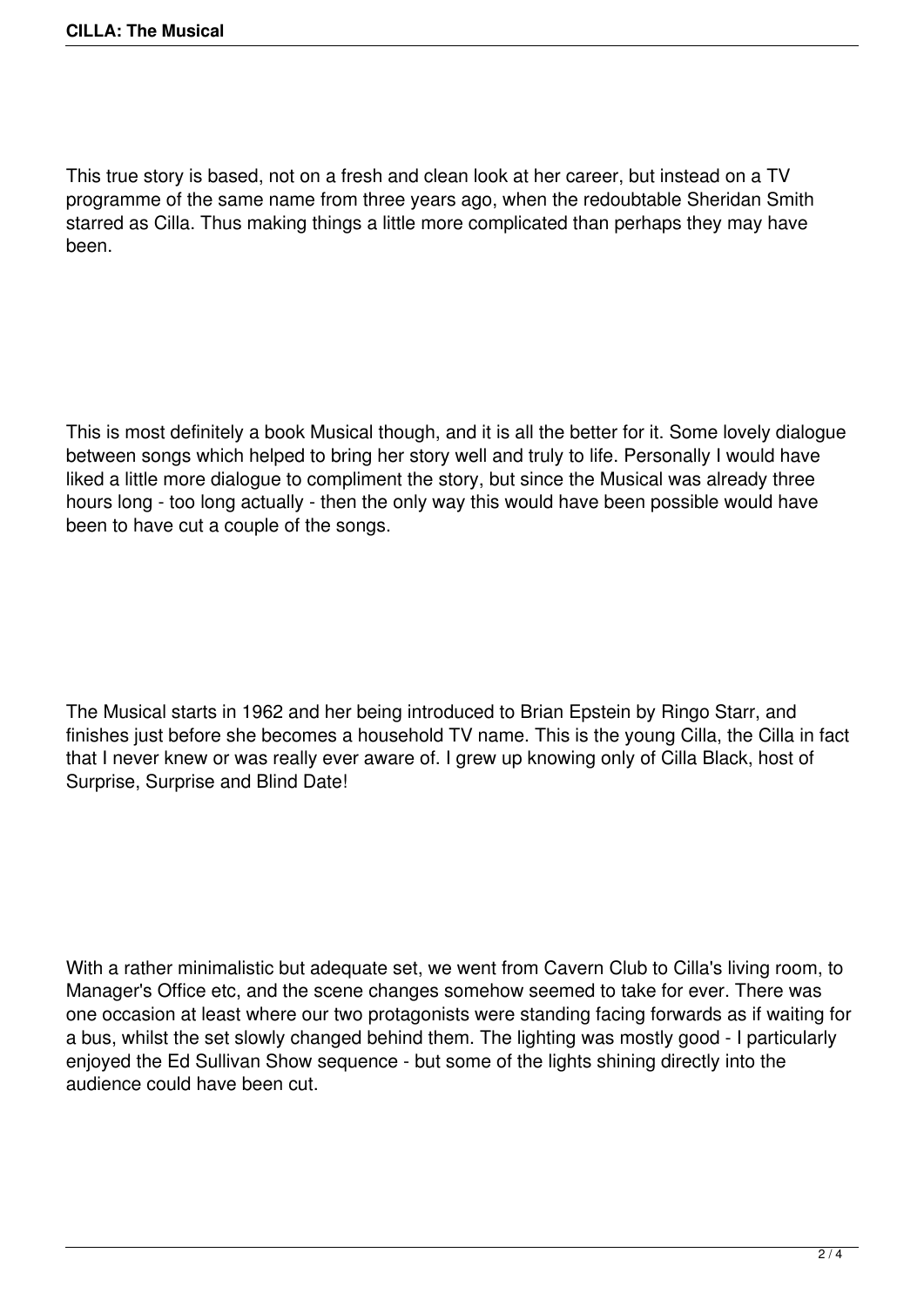This true story is based, not on a fresh and clean look at her career, but instead on a TV programme of the same name from three years ago, when the redoubtable Sheridan Smith starred as Cilla. Thus making things a little more complicated than perhaps they may have been.

This is most definitely a book Musical though, and it is all the better for it. Some lovely dialogue between songs which helped to bring her story well and truly to life. Personally I would have liked a little more dialogue to compliment the story, but since the Musical was already three hours long - too long actually - then the only way this would have been possible would have been to have cut a couple of the songs.

The Musical starts in 1962 and her being introduced to Brian Epstein by Ringo Starr, and finishes just before she becomes a household TV name. This is the young Cilla, the Cilla in fact that I never knew or was really ever aware of. I grew up knowing only of Cilla Black, host of Surprise, Surprise and Blind Date!

With a rather minimalistic but adequate set, we went from Cavern Club to Cilla's living room, to Manager's Office etc, and the scene changes somehow seemed to take for ever. There was one occasion at least where our two protagonists were standing facing forwards as if waiting for a bus, whilst the set slowly changed behind them. The lighting was mostly good - I particularly enjoyed the Ed Sullivan Show sequence - but some of the lights shining directly into the audience could have been cut.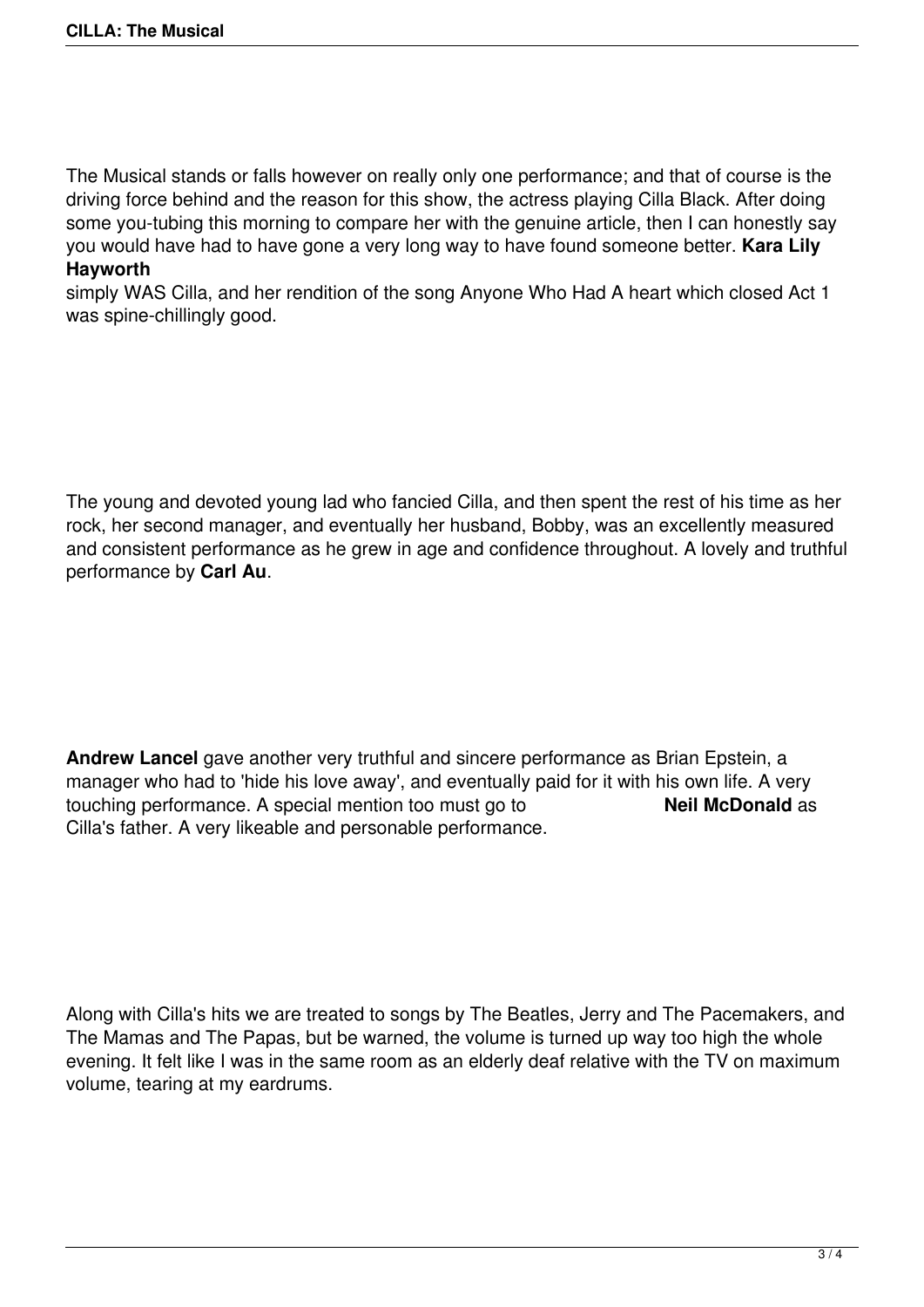The Musical stands or falls however on really only one performance; and that of course is the driving force behind and the reason for this show, the actress playing Cilla Black. After doing some you-tubing this morning to compare her with the genuine article, then I can honestly say you would have had to have gone a very long way to have found someone better. **Kara Lily Hayworth**

simply WAS Cilla, and her rendition of the song Anyone Who Had A heart which closed Act 1 was spine-chillingly good.

The young and devoted young lad who fancied Cilla, and then spent the rest of his time as her rock, her second manager, and eventually her husband, Bobby, was an excellently measured and consistent performance as he grew in age and confidence throughout. A lovely and truthful performance by **Carl Au**.

**Andrew Lancel** gave another very truthful and sincere performance as Brian Epstein, a manager who had to 'hide his love away', and eventually paid for it with his own life. A very touching performance. A special mention too must go to **Neil McDonald** as Cilla's father. A very likeable and personable performance.

Along with Cilla's hits we are treated to songs by The Beatles, Jerry and The Pacemakers, and The Mamas and The Papas, but be warned, the volume is turned up way too high the whole evening. It felt like I was in the same room as an elderly deaf relative with the TV on maximum volume, tearing at my eardrums.